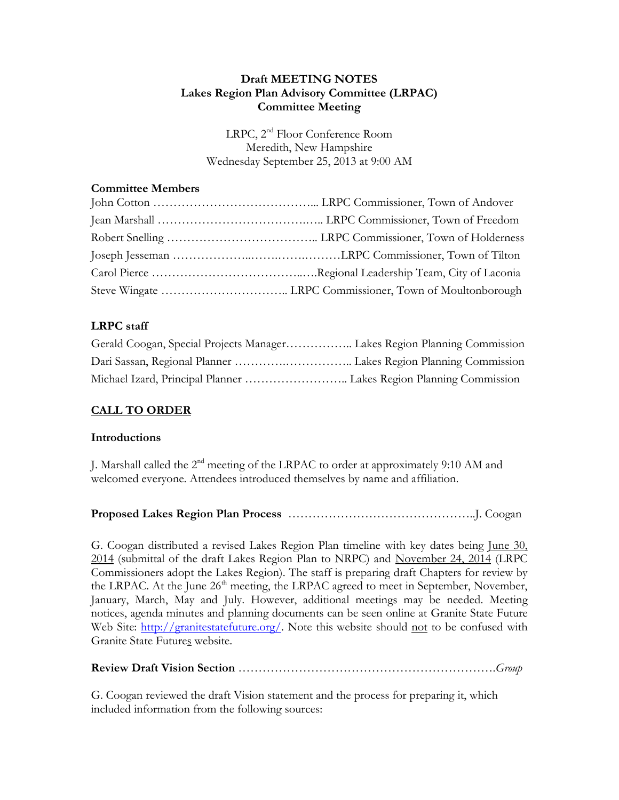### **Draft MEETING NOTES Lakes Region Plan Advisory Committee (LRPAC) Committee Meeting**

LRPC, 2<sup>nd</sup> Floor Conference Room Meredith, New Hampshire Wednesday September 25, 2013 at 9:00 AM

### **Committee Members**

# **LRPC staff**

## **CALL TO ORDER**

### **Introductions**

J. Marshall called the 2<sup>nd</sup> meeting of the LRPAC to order at approximately 9:10 AM and welcomed everyone. Attendees introduced themselves by name and affiliation.

## **Proposed Lakes Region Plan Process** ………………………………………..J. Coogan

G. Coogan distributed a revised Lakes Region Plan timeline with key dates being June 30, 2014 (submittal of the draft Lakes Region Plan to NRPC) and November 24, 2014 (LRPC Commissioners adopt the Lakes Region). The staff is preparing draft Chapters for review by the LRPAC. At the June  $26<sup>th</sup>$  meeting, the LRPAC agreed to meet in September, November, January, March, May and July. However, additional meetings may be needed. Meeting notices, agenda minutes and planning documents can be seen online at Granite State Future Web Site: [http://granitestatefuture.org/.](http://granitestatefuture.org/) Note this website should not to be confused with Granite State Futures website.

## **Review Draft Vision Section** ……………………………………………………….*Group*

G. Coogan reviewed the draft Vision statement and the process for preparing it, which included information from the following sources: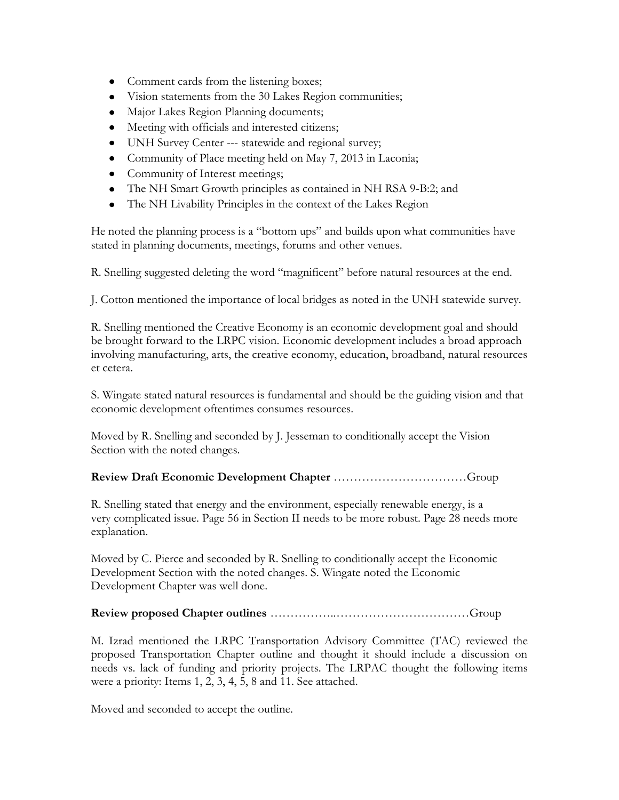- Comment cards from the listening boxes;
- Vision statements from the 30 Lakes Region communities;
- Major Lakes Region Planning documents;
- Meeting with officials and interested citizens;
- UNH Survey Center --- statewide and regional survey;
- Community of Place meeting held on May 7, 2013 in Laconia;
- Community of Interest meetings;
- The NH Smart Growth principles as contained in NH RSA 9-B:2; and
- The NH Livability Principles in the context of the Lakes Region

He noted the planning process is a "bottom ups" and builds upon what communities have stated in planning documents, meetings, forums and other venues.

R. Snelling suggested deleting the word "magnificent" before natural resources at the end.

J. Cotton mentioned the importance of local bridges as noted in the UNH statewide survey.

R. Snelling mentioned the Creative Economy is an economic development goal and should be brought forward to the LRPC vision. Economic development includes a broad approach involving manufacturing, arts, the creative economy, education, broadband, natural resources et cetera.

S. Wingate stated natural resources is fundamental and should be the guiding vision and that economic development oftentimes consumes resources.

Moved by R. Snelling and seconded by J. Jesseman to conditionally accept the Vision Section with the noted changes.

### **Review Draft Economic Development Chapter** ……………………………Group

R. Snelling stated that energy and the environment, especially renewable energy, is a very complicated issue. Page 56 in Section II needs to be more robust. Page 28 needs more explanation.

Moved by C. Pierce and seconded by R. Snelling to conditionally accept the Economic Development Section with the noted changes. S. Wingate noted the Economic Development Chapter was well done.

### **Review proposed Chapter outlines** ……………..……………………………Group

M. Izrad mentioned the LRPC Transportation Advisory Committee (TAC) reviewed the proposed Transportation Chapter outline and thought it should include a discussion on needs vs. lack of funding and priority projects. The LRPAC thought the following items were a priority: Items 1, 2, 3, 4, 5, 8 and 11. See attached.

Moved and seconded to accept the outline.